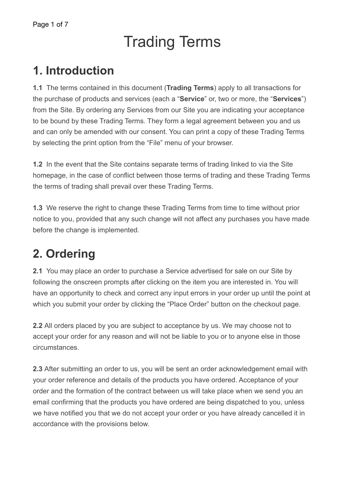# Trading Terms

### **1. Introduction**

**1.1** The terms contained in this document (**Trading Terms**) apply to all transactions for the purchase of products and services (each a "**Service**" or, two or more, the "**Services**") from the Site. By ordering any Services from our Site you are indicating your acceptance to be bound by these Trading Terms. They form a legal agreement between you and us and can only be amended with our consent. You can print a copy of these Trading Terms by selecting the print option from the "File" menu of your browser.

**1.2** In the event that the Site contains separate terms of trading linked to via the Site homepage, in the case of conflict between those terms of trading and these Trading Terms the terms of trading shall prevail over these Trading Terms.

**1.3** We reserve the right to change these Trading Terms from time to time without prior notice to you, provided that any such change will not affect any purchases you have made before the change is implemented.

# **2. Ordering**

**2.1** You may place an order to purchase a Service advertised for sale on our Site by following the onscreen prompts after clicking on the item you are interested in. You will have an opportunity to check and correct any input errors in your order up until the point at which you submit your order by clicking the "Place Order" button on the checkout page.

**2.2** All orders placed by you are subject to acceptance by us. We may choose not to accept your order for any reason and will not be liable to you or to anyone else in those circumstances.

**2.3** After submitting an order to us, you will be sent an order acknowledgement email with your order reference and details of the products you have ordered. Acceptance of your order and the formation of the contract between us will take place when we send you an email confirming that the products you have ordered are being dispatched to you, unless we have notified you that we do not accept your order or you have already cancelled it in accordance with the provisions below.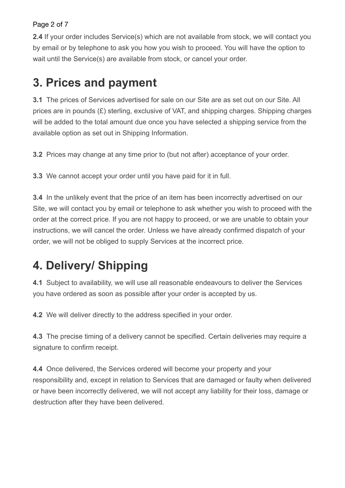#### Page 2 of 7

**2.4** If your order includes Service(s) which are not available from stock, we will contact you by email or by telephone to ask you how you wish to proceed. You will have the option to wait until the Service(s) are available from stock, or cancel your order.

### **3. Prices and payment**

**3.1** The prices of Services advertised for sale on our Site are as set out on our Site. All prices are in pounds (£) sterling, exclusive of VAT, and shipping charges. Shipping charges will be added to the total amount due once you have selected a shipping service from the available option as set out in Shipping Information.

**3.2** Prices may change at any time prior to (but not after) acceptance of your order.

**3.3** We cannot accept your order until you have paid for it in full.

**3.4** In the unlikely event that the price of an item has been incorrectly advertised on our Site, we will contact you by email or telephone to ask whether you wish to proceed with the order at the correct price. If you are not happy to proceed, or we are unable to obtain your instructions, we will cancel the order. Unless we have already confirmed dispatch of your order, we will not be obliged to supply Services at the incorrect price.

### **4. Delivery/ Shipping**

**4.1** Subject to availability, we will use all reasonable endeavours to deliver the Services you have ordered as soon as possible after your order is accepted by us.

**4.2** We will deliver directly to the address specified in your order.

**4.3** The precise timing of a delivery cannot be specified. Certain deliveries may require a signature to confirm receipt.

**4.4** Once delivered, the Services ordered will become your property and your responsibility and, except in relation to Services that are damaged or faulty when delivered or have been incorrectly delivered, we will not accept any liability for their loss, damage or destruction after they have been delivered.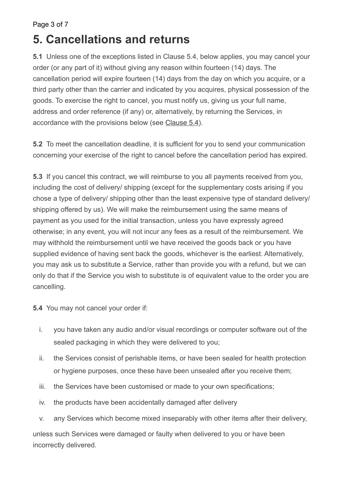#### Page 3 of 7

#### **5. Cancellations and returns**

**5.1** Unless one of the exceptions listed in Clause 5.4, below applies, you may cancel your order (or any part of it) without giving any reason within fourteen (14) days. The cancellation period will expire fourteen (14) days from the day on which you acquire, or a third party other than the carrier and indicated by you acquires, physical possession of the goods. To exercise the right to cancel, you must notify us, giving us your full name, address and order reference (if any) or, alternatively, by returning the Services, in accordance with the provisions below (see [Clause 5.4\)](https://dd-cdn.multiscreensite.com/yell/html/terms-and-conditions.html#5-4).

**5.2** To meet the cancellation deadline, it is sufficient for you to send your communication concerning your exercise of the right to cancel before the cancellation period has expired.

**5.3** If you cancel this contract, we will reimburse to you all payments received from you, including the cost of delivery/ shipping (except for the supplementary costs arising if you chose a type of delivery/ shipping other than the least expensive type of standard delivery/ shipping offered by us). We will make the reimbursement using the same means of payment as you used for the initial transaction, unless you have expressly agreed otherwise; in any event, you will not incur any fees as a result of the reimbursement. We may withhold the reimbursement until we have received the goods back or you have supplied evidence of having sent back the goods, whichever is the earliest. Alternatively, you may ask us to substitute a Service, rather than provide you with a refund, but we can only do that if the Service you wish to substitute is of equivalent value to the order you are cancelling.

**5.4** You may not cancel your order if:

- i. you have taken any audio and/or visual recordings or computer software out of the sealed packaging in which they were delivered to you;
- ii. the Services consist of perishable items, or have been sealed for health protection or hygiene purposes, once these have been unsealed after you receive them;
- iii. the Services have been customised or made to your own specifications;
- iv. the products have been accidentally damaged after delivery
- v. any Services which become mixed inseparably with other items after their delivery,

unless such Services were damaged or faulty when delivered to you or have been incorrectly delivered.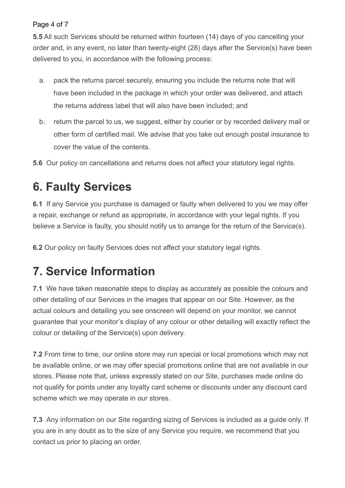#### Page 4 of 7

**5.5** All such Services should be returned within fourteen (14) days of you cancelling your order and, in any event, no later than twenty-eight (28) days after the Service(s) have been delivered to you, in accordance with the following process:

- a. pack the returns parcel securely, ensuring you include the returns note that will have been included in the package in which your order was delivered, and attach the returns address label that will also have been included; and
- b. return the parcel to us, we suggest, either by courier or by recorded delivery mail or other form of certified mail. We advise that you take out enough postal insurance to cover the value of the contents.

**5.6** Our policy on cancellations and returns does not affect your statutory legal rights.

### **6. Faulty Services**

**6.1** If any Service you purchase is damaged or faulty when delivered to you we may offer a repair, exchange or refund as appropriate, in accordance with your legal rights. If you believe a Service is faulty, you should notify us to arrange for the return of the Service(s).

**6.2** Our policy on faulty Services does not affect your statutory legal rights.

### **7. Service Information**

**7.1** We have taken reasonable steps to display as accurately as possible the colours and other detailing of our Services in the images that appear on our Site. However, as the actual colours and detailing you see onscreen will depend on your monitor, we cannot guarantee that your monitor's display of any colour or other detailing will exactly reflect the colour or detailing of the Service(s) upon delivery.

**7.2** From time to time, our online store may run special or local promotions which may not be available online, or we may offer special promotions online that are not available in our stores. Please note that, unless expressly stated on our Site, purchases made online do not qualify for points under any loyalty card scheme or discounts under any discount card scheme which we may operate in our stores.

**7.3** Any information on our Site regarding sizing of Services is included as a guide only. If you are in any doubt as to the size of any Service you require, we recommend that you contact us prior to placing an order.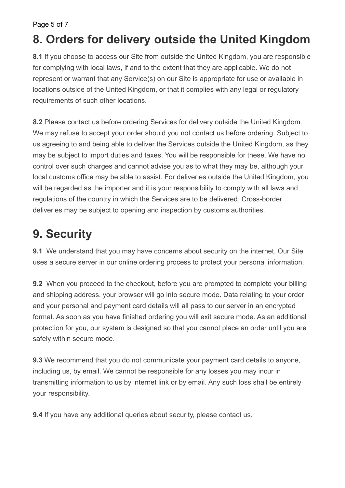Page 5 of 7

#### **8. Orders for delivery outside the United Kingdom**

**8.1** If you choose to access our Site from outside the United Kingdom, you are responsible for complying with local laws, if and to the extent that they are applicable. We do not represent or warrant that any Service(s) on our Site is appropriate for use or available in locations outside of the United Kingdom, or that it complies with any legal or regulatory requirements of such other locations.

**8.2** Please contact us before ordering Services for delivery outside the United Kingdom. We may refuse to accept your order should you not contact us before ordering. Subject to us agreeing to and being able to deliver the Services outside the United Kingdom, as they may be subject to import duties and taxes. You will be responsible for these. We have no control over such charges and cannot advise you as to what they may be, although your local customs office may be able to assist. For deliveries outside the United Kingdom, you will be regarded as the importer and it is your responsibility to comply with all laws and regulations of the country in which the Services are to be delivered. Cross-border deliveries may be subject to opening and inspection by customs authorities.

## **9. Security**

**9.1** We understand that you may have concerns about security on the internet. Our Site uses a secure server in our online ordering process to protect your personal information.

**9.2** When you proceed to the checkout, before you are prompted to complete your billing and shipping address, your browser will go into secure mode. Data relating to your order and your personal and payment card details will all pass to our server in an encrypted format. As soon as you have finished ordering you will exit secure mode. As an additional protection for you, our system is designed so that you cannot place an order until you are safely within secure mode.

**9.3** We recommend that you do not communicate your payment card details to anyone, including us, by email. We cannot be responsible for any losses you may incur in transmitting information to us by internet link or by email. Any such loss shall be entirely your responsibility.

**9.4** If you have any additional queries about security, please contact us.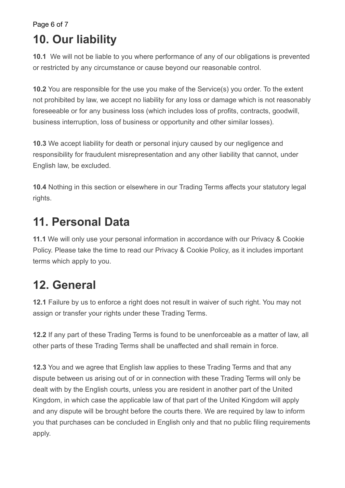Page 6 of 7

### **10. Our liability**

**10.1** We will not be liable to you where performance of any of our obligations is prevented or restricted by any circumstance or cause beyond our reasonable control.

**10.2** You are responsible for the use you make of the Service(s) you order. To the extent not prohibited by law, we accept no liability for any loss or damage which is not reasonably foreseeable or for any business loss (which includes loss of profits, contracts, goodwill, business interruption, loss of business or opportunity and other similar losses).

**10.3** We accept liability for death or personal injury caused by our negligence and responsibility for fraudulent misrepresentation and any other liability that cannot, under English law, be excluded.

**10.4** Nothing in this section or elsewhere in our Trading Terms affects your statutory legal rights.

# **11. Personal Data**

**11.1** We will only use your personal information in accordance with our Privacy & Cookie Policy. Please take the time to read our Privacy & Cookie Policy, as it includes important terms which apply to you.

# **12. General**

**12.1** Failure by us to enforce a right does not result in waiver of such right. You may not assign or transfer your rights under these Trading Terms.

**12.2** If any part of these Trading Terms is found to be unenforceable as a matter of law, all other parts of these Trading Terms shall be unaffected and shall remain in force.

**12.3** You and we agree that English law applies to these Trading Terms and that any dispute between us arising out of or in connection with these Trading Terms will only be dealt with by the English courts, unless you are resident in another part of the United Kingdom, in which case the applicable law of that part of the United Kingdom will apply and any dispute will be brought before the courts there. We are required by law to inform you that purchases can be concluded in English only and that no public filing requirements apply.